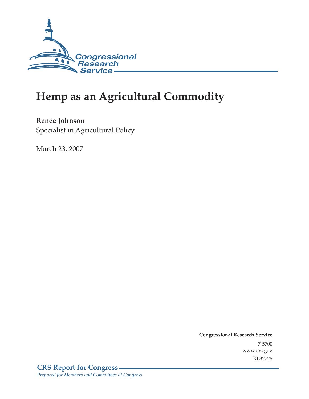

# **Hemp as an Agricultural Commodity**

**Renée Johnson**  Specialist in Agricultural Policy

March 23, 2007

**Congressional Research Service** 7-5700 www.crs.gov RL32725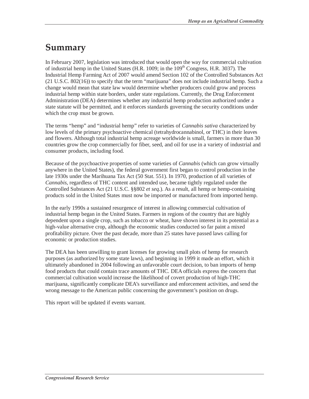### **Summary**

In February 2007, legislation was introduced that would open the way for commercial cultivation of industrial hemp in the United States (H.R. 1009; in the  $109<sup>th</sup>$  Congress, H.R. 3037). The Industrial Hemp Farming Act of 2007 would amend Section 102 of the Controlled Substances Act (21 U.S.C. 802(16)) to specify that the term "marijuana" does not include industrial hemp. Such a change would mean that state law would determine whether producers could grow and process industrial hemp within state borders, under state regulations. Currently, the Drug Enforcement Administration (DEA) determines whether any industrial hemp production authorized under a state statute will be permitted, and it enforces standards governing the security conditions under which the crop must be grown.

The terms "hemp" and "industrial hemp" refer to varieties of *Cannabis sativa* characterized by low levels of the primary psychoactive chemical (tetrahydrocannabinol, or THC) in their leaves and flowers. Although total industrial hemp acreage worldwide is small, farmers in more than 30 countries grow the crop commercially for fiber, seed, and oil for use in a variety of industrial and consumer products, including food.

Because of the psychoactive properties of some varieties of *Cannabis* (which can grow virtually anywhere in the United States), the federal government first began to control production in the late 1930s under the Marihuana Tax Act (50 Stat. 551). In 1970, production of all varieties of *Cannabis*, regardless of THC content and intended use, became tightly regulated under the Controlled Substances Act (21 U.S.C. §§802 *et seq*.). As a result, all hemp or hemp-containing products sold in the United States must now be imported or manufactured from imported hemp.

In the early 1990s a sustained resurgence of interest in allowing commercial cultivation of industrial hemp began in the United States. Farmers in regions of the country that are highly dependent upon a single crop, such as tobacco or wheat, have shown interest in its potential as a high-value alternative crop, although the economic studies conducted so far paint a mixed profitability picture. Over the past decade, more than 25 states have passed laws calling for economic or production studies.

The DEA has been unwilling to grant licenses for growing small plots of hemp for research purposes (as authorized by some state laws), and beginning in 1999 it made an effort, which it ultimately abandoned in 2004 following an unfavorable court decision, to ban imports of hemp food products that could contain trace amounts of THC. DEA officials express the concern that commercial cultivation would increase the likelihood of covert production of high-THC marijuana, significantly complicate DEA's surveillance and enforcement activities, and send the wrong message to the American public concerning the government's position on drugs.

This report will be updated if events warrant.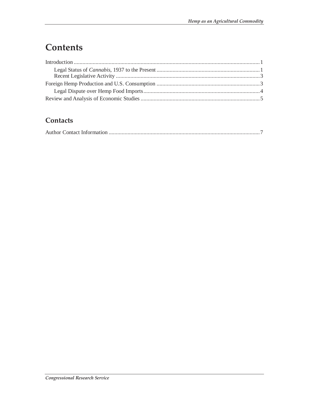## **Contents**

#### **Contacts**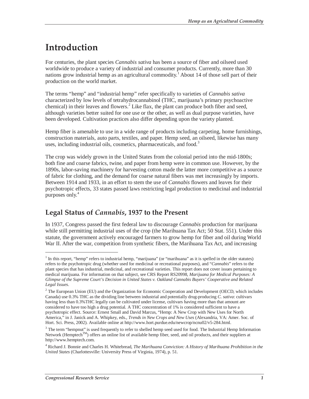### **Introduction**

For centuries, the plant species *Cannabis sativa* has been a source of fiber and oilseed used worldwide to produce a variety of industrial and consumer products. Currently, more than 30 nations grow industrial hemp as an agricultural commodity.<sup>1</sup> About 14 of those sell part of their production on the world market.

The terms "hemp" and "industrial hemp" refer specifically to varieties of *Cannabis sativa* characterized by low levels of tetrahydrocannabinol (THC, marijuana's primary psychoactive chemical) in their leaves and flowers.<sup>2</sup> Like flax, the plant can produce both fiber and seed, although varieties better suited for one use or the other, as well as dual purpose varieties, have been developed. Cultivation practices also differ depending upon the variety planted.

Hemp fiber is amenable to use in a wide range of products including carpeting, home furnishings, construction materials, auto parts, textiles, and paper. Hemp seed, an oilseed, likewise has many uses, including industrial oils, cosmetics, pharmaceuticals, and food. $3$ 

The crop was widely grown in the United States from the colonial period into the mid-1800s; both fine and coarse fabrics, twine, and paper from hemp were in common use. However, by the 1890s, labor-saving machinery for harvesting cotton made the latter more competitive as a source of fabric for clothing, and the demand for coarse natural fibers was met increasingly by imports. Between 1914 and 1933, in an effort to stem the use of *Cannabis* flowers and leaves for their psychotropic effects, 33 states passed laws restricting legal production to medicinal and industrial purposes only.<sup>4</sup>

#### **Legal Status of** *Cannabis***, 1937 to the Present**

In 1937, Congress passed the first federal law to discourage *Cannabis* production for marijuana while still permitting industrial uses of the crop (the Marihuana Tax Act; 50 Stat. 551). Under this statute, the government actively encouraged farmers to grow hemp for fiber and oil during World War II. After the war, competition from synthetic fibers, the Marihuana Tax Act, and increasing

<u>.</u>

 $<sup>1</sup>$  In this report, "hemp" refers to industrial hemp, "marijuana" (or "marihuana" as it is spelled in the older statutes)</sup> refers to the psychotropic drug (whether used for medicinal or recreational purposes), and "*Cannabis*" refers to the plant species that has industrial, medicinal, and recreational varieties. This report does not cover issues pertaining to medical marijuana. For information on that subject, see CRS Report RS20998, *Marijuana for Medical Purposes: A Glimpse of the Supreme Court's Decision in United States v. Oakland Cannabis Buyers' Cooperative and Related Legal Issues*.

 $2$  The European Union (EU) and the Organization for Economic Cooperation and Development (OECD, which includes Canada) use 0.3% THC as the dividing line between industrial and potentially drug-producing *C. sativa*: cultivars having less than 0.3%THC legally can be cultivated under license, cultivars having more than that amount are considered to have too high a drug potential. A THC concentration of 1% is considered sufficient to have a psychotropic effect. Source: Ernest Small and David Marcus, "Hemp: A New Crop with New Uses for North America," in J. Janick and A. Whipkey, eds., *Trends in New Crops and New Uses* (Alexandria, VA: Amer. Soc. of Hort. Sci. Press, 2002). Available online at http://www.hort.purdue.edu/newcrop/ncnu02/v5-284.html.

 $3$  The term "hempnut" is used frequently to refer to shelled hemp seed used for food. The Industrial Hemp Information Network (Hemptech<sup>TM</sup>) offers an online list of available hemp fiber, seed, and oil products, and their suppliers at http://www.hemptech.com.

<sup>4</sup> Richard J. Bonnie and Charles H. Whitebread, *The Marihuana Conviction: A History of Marihuana Prohibition in the United States* (Charlottesville: University Press of Virginia, 1974), p. 51.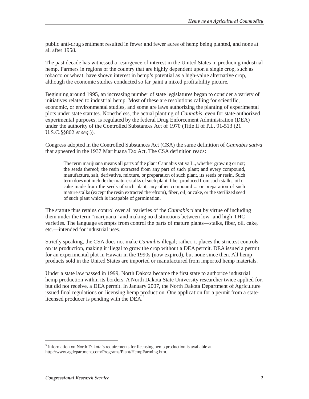public anti-drug sentiment resulted in fewer and fewer acres of hemp being planted, and none at all after 1958.

The past decade has witnessed a resurgence of interest in the United States in producing industrial hemp. Farmers in regions of the country that are highly dependent upon a single crop, such as tobacco or wheat, have shown interest in hemp's potential as a high-value alternative crop, although the economic studies conducted so far paint a mixed profitability picture.

Beginning around 1995, an increasing number of state legislatures began to consider a variety of initiatives related to industrial hemp. Most of these are resolutions calling for scientific, economic, or environmental studies, and some are laws authorizing the planting of experimental plots under state statutes. Nonetheless, the actual planting of *Cannabis*, even for state-authorized experimental purposes, is regulated by the federal Drug Enforcement Administration (DEA) under the authority of the Controlled Substances Act of 1970 (Title II of P.L. 91-513 (21 U.S.C.§§802 *et seq.*)).

Congress adopted in the Controlled Substances Act (CSA) the same definition of *Cannabis sativa* that appeared in the 1937 Marihuana Tax Act. The CSA definition reads:

The term marijuana means all parts of the plant Cannabis sativa L., whether growing or not; the seeds thereof; the resin extracted from any part of such plant; and every compound, manufacture, salt, derivative, mixture, or preparation of such plant, its seeds or resin. Such term does not include the mature stalks of such plant, fiber produced from such stalks, oil or cake made from the seeds of such plant, any other compound ... or preparation of such mature stalks (except the resin extracted therefrom), fiber, oil, or cake, or the sterilized seed of such plant which is incapable of germination.

The statute thus retains control over all varieties of the *Cannabis* plant by virtue of including them under the term "marijuana" and making no distinctions between low- and high-THC varieties. The language exempts from control the parts of mature plants—stalks, fiber, oil, cake, etc.—intended for industrial uses.

Strictly speaking, the CSA does not make *Cannabis* illegal; rather, it places the strictest controls on its production, making it illegal to grow the crop without a DEA permit. DEA issued a permit for an experimental plot in Hawaii in the 1990s (now expired), but none since then. All hemp products sold in the United States are imported or manufactured from imported hemp materials.

Under a state law passed in 1999, North Dakota became the first state to authorize industrial hemp production within its borders. A North Dakota State University researcher twice applied for, but did not receive, a DEA permit. In January 2007, the North Dakota Department of Agriculture issued final regulations on licensing hemp production. One application for a permit from a statelicensed producer is pending with the DEA.<sup>5</sup>

<sup>&</sup>lt;sup>5</sup> Information on North Dakota's requirements for licensing hemp production is available at http://www.agdepartment.com/Programs/Plant/HempFarming.htm.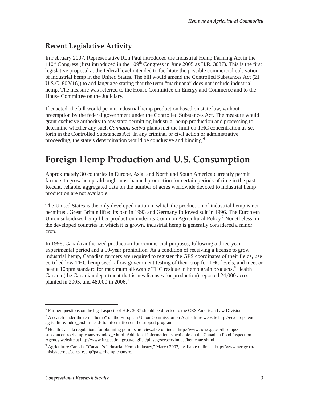#### **Recent Legislative Activity**

In February 2007, Representative Ron Paul introduced the Industrial Hemp Farming Act in the  $110^{th}$  Congress (first introduced in the  $109^{th}$  Congress in June 2005 as H.R. 3037). This is the first legislative proposal at the federal level intended to facilitate the possible commercial cultivation of industrial hemp in the United States. The bill would amend the Controlled Substances Act (21 U.S.C. 802(16)) to add language stating that the term "marijuana" does not include industrial hemp. The measure was referred to the House Committee on Energy and Commerce and to the House Committee on the Judiciary.

If enacted, the bill would permit industrial hemp production based on state law, without preemption by the federal government under the Controlled Substances Act. The measure would grant exclusive authority to any state permitting industrial hemp production and processing to determine whether any such *Cannabis sativa* plants met the limit on THC concentration as set forth in the Controlled Substances Act. In any criminal or civil action or administrative proceeding, the state's determination would be conclusive and binding.<sup>6</sup>

### **Foreign Hemp Production and U.S. Consumption**

Approximately 30 countries in Europe, Asia, and North and South America currently permit farmers to grow hemp, although most banned production for certain periods of time in the past. Recent, reliable, aggregated data on the number of acres worldwide devoted to industrial hemp production are not available.

The United States is the only developed nation in which the production of industrial hemp is not permitted. Great Britain lifted its ban in 1993 and Germany followed suit in 1996. The European Union subsidizes hemp fiber production under its Common Agricultural Policy.<sup>7</sup> Nonetheless, in the developed countries in which it is grown, industrial hemp is generally considered a minor crop.

In 1998, Canada authorized production for commercial purposes, following a three-year experimental period and a 50-year prohibition. As a condition of receiving a license to grow industrial hemp, Canadian farmers are required to register the GPS coordinates of their fields, use certified low-THC hemp seed, allow government testing of their crop for THC levels, and meet or beat a 10ppm standard for maximum allowable THC residue in hemp grain products.<sup>8</sup> Health Canada (the Canadian department that issues licenses for production) reported 24,000 acres planted in 2005, and 48,000 in 2006.<sup>9</sup>

<u>.</u>

<sup>&</sup>lt;sup>6</sup> Further questions on the legal aspects of H.R. 3037 should be directed to the CRS American Law Division.

 $<sup>7</sup>$  A search under the term "hemp" on the European Union Commission on Agriculture website http://ec.europa.eu/</sup> agriculture/index\_en.htm leads to information on the support program.

<sup>&</sup>lt;sup>8</sup> Health Canada regulations for obtaining permits are viewable online at http://www.hc-sc.gc.ca/dhp-mps/ substancontrol/hemp-chanvre/index\_e.html. Additional information is available on the Canadian Food Inspection Agency website at http://www.inspection.gc.ca/english/plaveg/seesem/indust/hemchae.shtml.

<sup>9</sup> Agriculture Canada, "Canada's Industrial Hemp Industry," March 2007, available online at http://www.agr.gc.ca/ misb/spcrops/sc-cs\_e.php?page+hemp-chanvre.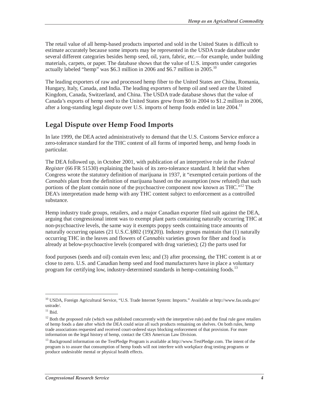The retail value of all hemp-based products imported and sold in the United States is difficult to estimate accurately because some imports may be represented in the USDA trade database under several different categories besides hemp seed, oil, yarn, fabric, etc.—for example, under building materials, carpets, or paper. The database shows that the value of U.S. imports under categories actually labeled "hemp" was \$6.3 million in 2006 and \$6.7 million in 2005.<sup>10</sup>

The leading exporters of raw and processed hemp fiber to the United States are China, Romania, Hungary, Italy, Canada, and India. The leading exporters of hemp oil and seed are the United Kingdom, Canada, Switzerland, and China. The USDA trade database shows that the value of Canada's exports of hemp seed to the United States grew from \$0 in 2004 to \$1.2 million in 2006, after a long-standing legal dispute over U.S. imports of hemp foods ended in late  $2004$ .<sup>11</sup>

#### **Legal Dispute over Hemp Food Imports**

In late 1999, the DEA acted administratively to demand that the U.S. Customs Service enforce a zero-tolerance standard for the THC content of all forms of imported hemp, and hemp foods in particular.

The DEA followed up, in October 2001, with publication of an interpretive rule in the *Federal Register* (66 FR 51530) explaining the basis of its zero-tolerance standard. It held that when Congress wrote the statutory definition of marijuana in 1937, it "exempted certain portions of the *Cannabis* plant from the definition of marijuana based on the assumption (now refuted) that such portions of the plant contain none of the psychoactive component now known as THC."<sup>12</sup> The DEA's interpretation made hemp with any THC content subject to enforcement as a controlled substance.

Hemp industry trade groups, retailers, and a major Canadian exporter filed suit against the DEA, arguing that congressional intent was to exempt plant parts containing naturally occurring THC at non-psychoactive levels, the same way it exempts poppy seeds containing trace amounts of naturally occurring opiates (21 U.S.C.§802 (19)(20)). Industry groups maintain that (1) naturally occurring THC in the leaves and flowers of *Cannabis* varieties grown for fiber and food is already at below-psychoactive levels (compared with drug varieties); (2) the parts used for

food purposes (seeds and oil) contain even less; and (3) after processing, the THC content is at or close to zero. U.S. and Canadian hemp seed and food manufacturers have in place a voluntary program for certifying low, industry-determined standards in hemp-containing foods.<sup>13</sup>

<sup>10</sup> USDA, Foreign Agricultural Service, "U.S. Trade Internet System: Imports." Available at http://www.fas.usda.gov/ ustrade/.

 $11$  Ibid.

 $12$  Both the proposed rule (which was published concurrently with the interpretive rule) and the final rule gave retailers of hemp foods a date after which the DEA could seize all such products remaining on shelves. On both rules, hemp trade associations requested and received court-ordered stays blocking enforcement of that provision. For more information on the legal history of hemp, contact the CRS American Law Division.

<sup>&</sup>lt;sup>13</sup> Background information on the TestPledge Program is available at http://www.TestPledge.com. The intent of the program is to assure that consumption of hemp foods will not interfere with workplace drug testing programs or produce undesirable mental or physical health effects.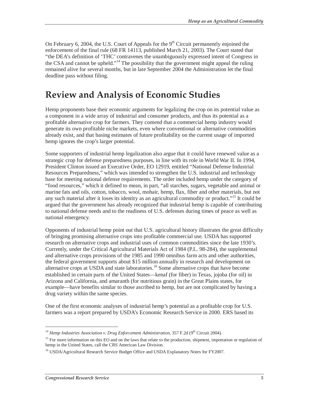On February 6, 2004, the U.S. Court of Appeals for the  $9<sup>th</sup>$  Circuit permanently enjoined the enforcement of the final rule (68 FR 14113, published March 21, 2003). The Court stated that "the DEA's definition of 'THC' contravenes the unambiguously expressed intent of Congress in the CSA and cannot be upheld."<sup>14</sup> The possibility that the government might appeal the ruling remained alive for several months, but in late September 2004 the Administration let the final deadline pass without filing.

### **Review and Analysis of Economic Studies**

Hemp proponents base their economic arguments for legalizing the crop on its potential value as a component in a wide array of industrial and consumer products, and thus its potential as a profitable alternative crop for farmers. They contend that a commercial hemp industry would generate its own profitable niche markets, even where conventional or alternative commodities already exist, and that basing estimates of future profitability on the current usage of imported hemp ignores the crop's larger potential.

Some supporters of industrial hemp legalization also argue that it could have renewed value as a strategic crop for defense preparedness purposes, in line with its role in World War II. In 1994, President Clinton issued an Executive Order, EO 12919, entitled "National Defense Industrial Resources Preparedness," which was intended to strengthen the U.S. industrial and technology base for meeting national defense requirements. The order included hemp under the category of "food resources," which it defined to mean, in part, "all starches, sugars, vegetable and animal or marine fats and oils, cotton, tobacco, wool, mohair, hemp, flax, fiber and other materials, but not any such material after it loses its identity as an agricultural commodity or product."<sup>15</sup> It could be argued that the government has already recognized that industrial hemp is capable of contributing to national defense needs and to the readiness of U.S. defenses during times of peace as well as national emergency.

Opponents of industrial hemp point out that U.S. agricultural history illustrates the great difficulty of bringing promising alternative crops into profitable commercial use. USDA has supported research on alternative crops and industrial uses of common commodities since the late 1930's. Currently, under the Critical Agricultural Materials Act of 1984 (P.L. 98-284), the supplemental and alternative crops provisions of the 1985 and 1990 omnibus farm acts and other authorities, the federal government supports about \$15 million annually in research and development on alternative crops at USDA and state laboratories.<sup>16</sup> Some alternative crops that have become established in certain parts of the United States—kenaf (for fiber) in Texas, jojoba (for oil) in Arizona and California, and amaranth (for nutritious grain) in the Great Plains states, for example—have benefits similar to those ascribed to hemp, but are not complicated by having a drug variety within the same species.

One of the first economic analyses of industrial hemp's potential as a profitable crop for U.S. farmers was a report prepared by USDA's Economic Research Service in 2000. ERS based its

<sup>&</sup>lt;sup>14</sup> *Hemp Industries Association v. Drug Enforcement Administration*, 357 F.2d (9<sup>th</sup> Circuit 2004).

<sup>&</sup>lt;sup>15</sup> For more information on this EO and on the laws that relate to the production, shipment, importation or regulation of hemp in the United States, call the CRS American Law Division.

<sup>&</sup>lt;sup>16</sup> USDA/Agricultural Research Service Budget Office and USDA Explanatory Notes for FY2007.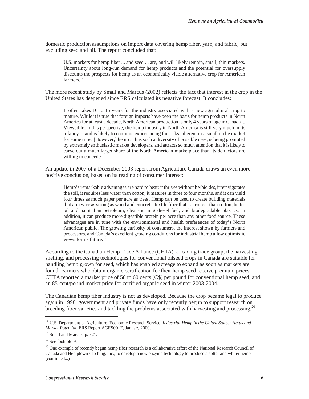domestic production assumptions on import data covering hemp fiber, yarn, and fabric, but excluding seed and oil. The report concluded that:

U.S. markets for hemp fiber ... and seed ... are, and will likely remain, small, thin markets. Uncertainty about long-run demand for hemp products and the potential for oversupply discounts the prospects for hemp as an economically viable alternative crop for American farmers.<sup>17</sup>

The more recent study by Small and Marcus (2002) reflects the fact that interest in the crop in the United States has deepened since ERS calculated its negative forecast. It concludes:

It often takes 10 to 15 years for the industry associated with a new agricultural crop to mature. While it is true that foreign imports have been the basis for hemp products in North America for at least a decade, North American production is only 4 years of age in Canada.... Viewed from this perspective, the hemp industry in North America is still very much in its infancy ... and is likely to continue experiencing the risks inherent in a small niche market for some time. [However,] hemp ... has such a diversity of possible uses, is being promoted by extremely enthusiastic market developers, and attracts so much attention that it is likely to carve out a much larger share of the North American marketplace than its detractors are willing to concede.<sup>18</sup>

An update in 2007 of a December 2003 report from Agriculture Canada draws an even more positive conclusion, based on its reading of consumer interest:

Hemp's remarkable advantages are hard to beat: it thrives without herbicides, it reinvigorates the soil, it requires less water than cotton, it matures in three to four months, and it can yield four times as much paper per acre as trees. Hemp can be used to create building materials that are twice as strong as wood and concrete, textile fiber that is stronger than cotton, better oil and paint than petroleum, clean-burning diesel fuel, and biodegradable plastics. In addition, it can produce more digestible protein per acre than any other food source. These advantages are in tune with the environmental and health preferences of today's North American public. The growing curiosity of consumers, the interest shown by farmers and processors, and Canada's excellent growing conditions for industrial hemp allow optimistic views for its future.<sup>19</sup>

According to the Canadian Hemp Trade Alliance (CHTA), a leading trade group, the harvesting, shelling, and processing technologies for conventional oilseed crops in Canada are suitable for handling hemp grown for seed, which has enabled acreage to expand as soon as markets are found. Farmers who obtain organic certification for their hemp seed receive premium prices. CHTA reported a market price of 50 to 60 cents (C\$) per pound for conventional hemp seed, and an 85-cent/pound market price for certified organic seed in winter 2003-2004.

The Canadian hemp fiber industry is not as developed. Because the crop became legal to produce again in 1998, government and private funds have only recently begun to support research on breeding fiber varieties and tackling the problems associated with harvesting and processing.<sup>20</sup>

<sup>17</sup> U.S. Department of Agriculture, Economic Research Service, *Industrial Hemp in the United States: Status and Market Potential*, ERS Report AGES001E, January 2000.

<sup>&</sup>lt;sup>18</sup> Small and Marcus, p. 321.

<sup>&</sup>lt;sup>19</sup> See footnote 9.

 $^{20}$  One example of recently begun hemp fiber research is a collaborative effort of the National Research Council of Canada and Hemptown Clothing, Inc., to develop a new enzyme technology to produce a softer and whiter hemp (continued...)